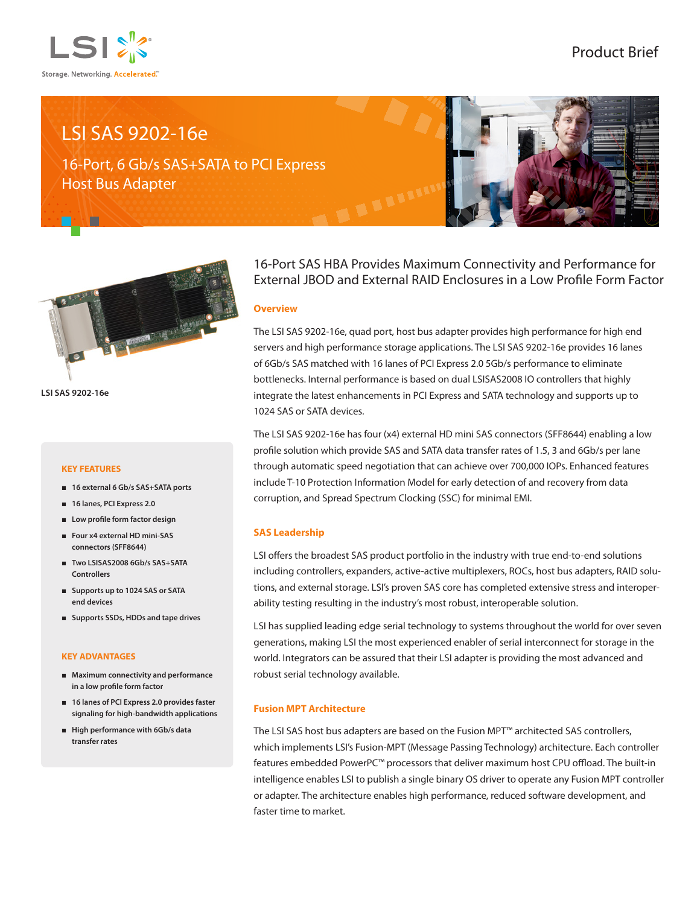

# LSI SAS 9202-16e

16-Port, 6 Gb/s SAS+SATA to PCI Express Host Bus Adapter





**LSI SAS 9202-16e**

### **KEY FEATURES**

- **16 external 6 Gb/s SAS+SATA ports**
- **16 lanes, PCI Express 2.0**
- **Low profile form factor design**
- **Four x4 external HD mini-SAS connectors (SFF8644)**
- **Two LSISAS2008 6Gb/s SAS+SATA Controllers**
- **Supports up to 1024 SAS or SATA end devices**
- **Supports SSDs, HDDs and tape drives**

#### **KEY ADVANTAGES**

- **Maximum connectivity and performance in a low profile form factor**
- **16 lanes of PCI Express 2.0 provides faster signaling for high-bandwidth applications**
- **High performance with 6Gb/s data transfer rates**

16-Port SAS HBA Provides Maximum Connectivity and Performance for External JBOD and External RAID Enclosures in a Low Profile Form Factor

#### **Overview**

The LSI SAS 9202-16e, quad port, host bus adapter provides high performance for high end servers and high performance storage applications. The LSI SAS 9202-16e provides 16 lanes of 6Gb/s SAS matched with 16 lanes of PCI Express 2.0 5Gb/s performance to eliminate bottlenecks. Internal performance is based on dual LSISAS2008 IO controllers that highly integrate the latest enhancements in PCI Express and SATA technology and supports up to 1024 SAS or SATA devices.

The LSI SAS 9202-16e has four (x4) external HD mini SAS connectors (SFF8644) enabling a low profile solution which provide SAS and SATA data transfer rates of 1.5, 3 and 6Gb/s per lane through automatic speed negotiation that can achieve over 700,000 IOPs. Enhanced features include T-10 Protection Information Model for early detection of and recovery from data corruption, and Spread Spectrum Clocking (SSC) for minimal EMI.

## **SAS Leadership**

LSI offers the broadest SAS product portfolio in the industry with true end-to-end solutions including controllers, expanders, active-active multiplexers, ROCs, host bus adapters, RAID solutions, and external storage. LSI's proven SAS core has completed extensive stress and interoperability testing resulting in the industry's most robust, interoperable solution.

LSI has supplied leading edge serial technology to systems throughout the world for over seven generations, making LSI the most experienced enabler of serial interconnect for storage in the world. Integrators can be assured that their LSI adapter is providing the most advanced and robust serial technology available.

### **Fusion MPT Architecture**

The LSI SAS host bus adapters are based on the Fusion MPT™ architected SAS controllers, which implements LSI's Fusion-MPT (Message Passing Technology) architecture. Each controller features embedded PowerPC™ processors that deliver maximum host CPU offload. The built-in intelligence enables LSI to publish a single binary OS driver to operate any Fusion MPT controller or adapter. The architecture enables high performance, reduced software development, and faster time to market.